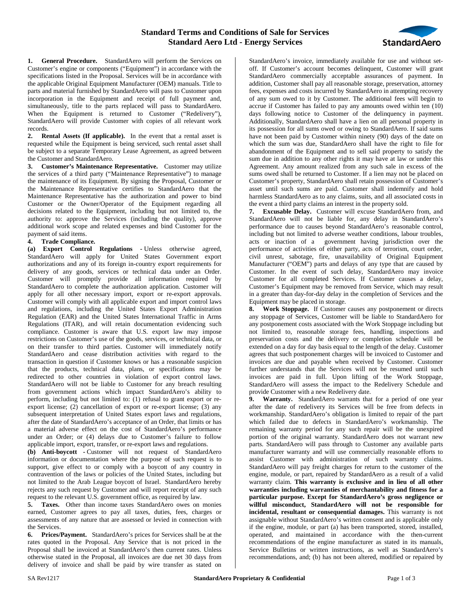

**1. General Procedure.** StandardAero will perform the Services on Customer's engine or components ("Equipment") in accordance with the specifications listed in the Proposal. Services will be in accordance with the applicable Original Equipment Manufacturer (OEM) manuals. Title to parts and material furnished by StandardAero will pass to Customer upon incorporation in the Equipment and receipt of full payment and, simultaneously, title to the parts replaced will pass to StandardAero. When the Equipment is returned to Customer ("Redelivery"), StandardAero will provide Customer with copies of all relevant work records.

**2. Rental Assets (If applicable).** In the event that a rental asset is requested while the Equipment is being serviced, such rental asset shall be subject to a separate Temporary Lease Agreement, as agreed between the Customer and StandardAero.

**3. Customer's Maintenance Representative.** Customer may utilize the services of a third party ("Maintenance Representative") to manage the maintenance of its Equipment. By signing the Proposal, Customer or the Maintenance Representative certifies to StandardAero that the Maintenance Representative has the authorization and power to bind Customer or the Owner/Operator of the Equipment regarding all decisions related to the Equipment, including but not limited to, the authority to: approve the Services (including the quality), approve additional work scope and related expenses and bind Customer for the payment of said items.

## **4. Trade Compliance.**

**(a) Export Control Regulations -** Unless otherwise agreed, StandardAero will apply for United States Government export authorizations and any of its foreign in-country export requirements for delivery of any goods, services or technical data under an Order. Customer will promptly provide all information required by StandardAero to complete the authorization application. Customer will apply for all other necessary import, export or re-export approvals. Customer will comply with all applicable export and import control laws and regulations, including the United States Export Administration Regulation (EAR) and the United States International Traffic in Arms Regulations (ITAR), and will retain documentation evidencing such compliance. Customer is aware that U.S. export law may impose restrictions on Customer's use of the goods, services, or technical data, or on their transfer to third parties. Customer will immediately notify StandardAero and cease distribution activities with regard to the transaction in question if Customer knows or has a reasonable suspicion that the products, technical data, plans, or specifications may be redirected to other countries in violation of export control laws. StandardAero will not be liable to Customer for any breach resulting from government actions which impact StandardAero's ability to perform, including but not limited to: (1) refusal to grant export or reexport license; (2) cancellation of export or re-export license; (3) any subsequent interpretation of United States export laws and regulations, after the date of StandardAero's acceptance of an Order, that limits or has a material adverse effect on the cost of StandardAero's performance under an Order; or (4) delays due to Customer's failure to follow applicable import, export, transfer, or re-export laws and regulations.

**(b) Anti-boycott -** Customer will not request of StandardAero information or documentation where the purpose of such request is to support, give effect to or comply with a boycott of any country in contravention of the laws or policies of the United States, including but not limited to the Arab League boycott of Israel. StandardAero hereby rejects any such request by Customer and will report receipt of any such request to the relevant U.S. government office, as required by law.

**5. Taxes.** Other than income taxes StandardAero owes on monies earned, Customer agrees to pay all taxes, duties, fees, charges or assessments of any nature that are assessed or levied in connection with the Services.

**6. Prices/Payment.** StandardAero's prices for Services shall be at the rates quoted in the Proposal. Any Service that is not priced in the Proposal shall be invoiced at StandardAero's then current rates. Unless otherwise stated in the Proposal, all invoices are due net 30 days from delivery of invoice and shall be paid by wire transfer as stated on

StandardAero's invoice, immediately available for use and without setoff. If Customer's account becomes delinquent, Customer will grant StandardAero commercially acceptable assurances of payment. In addition, Customer shall pay all reasonable storage, preservation, attorney fees, expenses and costs incurred by StandardAero in attempting recovery of any sum owed to it by Customer. The additional fees will begin to accrue if Customer has failed to pay any amounts owed within ten (10) days following notice to Customer of the delinquency in payment. Additionally, StandardAero shall have a lien on all personal property in its possession for all sums owed or owing to StandardAero. If said sums have not been paid by Customer within ninety (90) days of the date on which the sum was due, StandardAero shall have the right to file for abandonment of the Equipment and to sell said property to satisfy the sum due in addition to any other rights it may have at law or under this Agreement. Any amount realized from any such sale in excess of the sums owed shall be returned to Customer. If a lien may not be placed on Customer's property, StandardAero shall retain possession of Customer's asset until such sums are paid. Customer shall indemnify and hold harmless StandardAero as to any claims, suits, and all associated costs in the event a third party claims an interest in the property sold.

**7. Excusable Delay.** Customer will excuse StandardAero from, and StandardAero will not be liable for, any delay in StandardAero's performance due to causes beyond StandardAero's reasonable control, including but not limited to adverse weather conditions, labour troubles, acts or inaction of a government having jurisdiction over the performance of activities of either party, acts of terrorism, court order, civil unrest, sabotage, fire, unavailability of Original Equipment Manufacturer ("OEM") parts and delays of any type that are caused by Customer. In the event of such delay, StandardAero may invoice Customer for all completed Services. If Customer causes a delay, Customer's Equipment may be removed from Service, which may result in a greater than day-for-day delay in the completion of Services and the Equipment may be placed in storage.

**8. Work Stoppage.** If Customer causes any postponement or directs any stoppage of Services, Customer will be liable to StandardAero for any postponement costs associated with the Work Stoppage including but not limited to, reasonable storage fees, handling, inspections and preservation costs and the delivery or completion schedule will be extended on a day for day basis equal to the length of the delay. Customer agrees that such postponement charges will be invoiced to Customer and invoices are due and payable when received by Customer. Customer further understands that the Services will not be resumed until such invoices are paid in full. Upon lifting of the Work Stoppage, StandardAero will assess the impact to the Redelivery Schedule and provide Customer with a new Redelivery date.

**9. Warranty.** StandardAero warrants that for a period of one year after the date of redelivery its Services will be free from defects in workmanship. StandardAero's obligation is limited to repair of the part which failed due to defects in StandardAero's workmanship. The remaining warranty period for any such repair will be the unexpired portion of the original warranty. StandardAero does not warrant new parts. StandardAero will pass through to Customer any available parts manufacturer warranty and will use commercially reasonable efforts to assist Customer with administration of such warranty claims. StandardAero will pay freight charges for return to the customer of the engine, module, or part, repaired by StandardAero as a result of a valid warranty claim. **This warranty is exclusive and in lieu of all other warranties including warranties of merchantability and fitness for a particular purpose. Except for StandardAero's gross negligence or willful misconduct, StandardAero will not be responsible for incidental, resultant or consequential damages.** This warranty is not assignable without StandardAero's written consent and is applicable only if the engine, module, or part (a) has been transported, stored, installed, operated, and maintained in accordance with the then-current recommendations of the engine manufacturer as stated in its manuals, Service Bulletins or written instructions, as well as StandardAero's recommendations, and; (b) has not been altered, modified or repaired by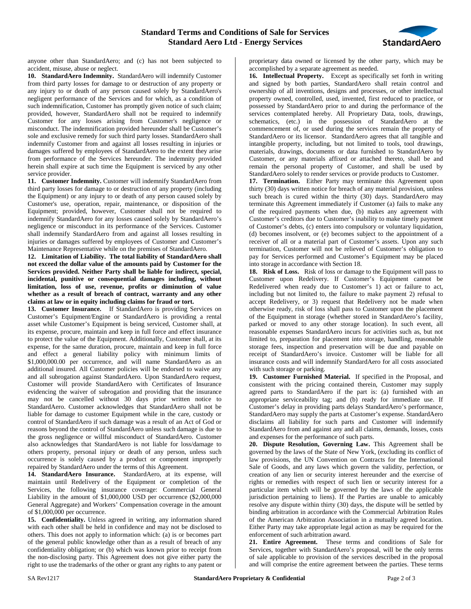## **Standard Terms and Conditions of Sale for Services Standard Aero Ltd - Energy Services**



anyone other than StandardAero; and (c) has not been subjected to accident, misuse, abuse or neglect.

**10. StandardAero Indemnity.** StandardAero will indemnify Customer from third party losses for damage to or destruction of any property or any injury to or death of any person caused solely by StandardAero's negligent performance of the Services and for which, as a condition of such indemnification, Customer has promptly given notice of such claim; provided, however, StandardAero shall not be required to indemnify Customer for any losses arising from Customer's negligence or misconduct. The indemnification provided hereunder shall be Customer's sole and exclusive remedy for such third party losses. StandardAero shall indemnify Customer from and against all losses resulting in injuries or damages suffered by employees of StandardAero to the extent they arise from performance of the Services hereunder. The indemnity provided herein shall expire at such time the Equipment is serviced by any other service provider.

**11. Customer Indemnity.** Customer will indemnify StandardAero from third party losses for damage to or destruction of any property (including the Equipment) or any injury to or death of any person caused solely by Customer's use, operation, repair, maintenance, or disposition of the Equipment; provided, however, Customer shall not be required to indemnify StandardAero for any losses caused solely by StandardAero's negligence or misconduct in its performance of the Services. Customer shall indemnify StandardAero from and against all losses resulting in injuries or damages suffered by employees of Customer and Customer's Maintenance Representative while on the premises of StandardAero.

**12. Limitation of Liability. The total liability of StandardAero shall not exceed the dollar value of the amounts paid by Customer for the Services provided. Neither Party shall be liable for indirect, special, incidental, punitive or consequential damages including, without limitation, loss of use, revenue, profits or diminution of value whether as a result of breach of contract, warranty and any other claims at law or in equity including claims for fraud or tort.**

**13. Customer Insurance.** If StandardAero is providing Services on Customer's Equipment/Engine or StandardAero is providing a rental asset while Customer's Equipment is being serviced, Customer shall, at its expense, procure, maintain and keep in full force and effect insurance to protect the value of the Equipment. Additionally, Customer shall, at its expense, for the same duration, procure, maintain and keep in full force and effect a general liability policy with minimum limits of \$1,000,000.00 per occurrence, and will name StandardAero as an additional insured. All Customer policies will be endorsed to waive any and all subrogation against StandardAero. Upon StandardAero request, Customer will provide StandardAero with Certificates of Insurance evidencing the waiver of subrogation and providing that the insurance may not be cancelled without 30 days prior written notice to StandardAero. Customer acknowledges that StandardAero shall not be liable for damage to customer Equipment while in the care, custody or control of StandardAero if such damage was a result of an Act of God or reasons beyond the control of StandardAero unless such damage is due to the gross negligence or willful misconduct of StandardAero. Customer also acknowledges that StandardAero is not liable for loss/damage to others property, personal injury or death of any person, unless such occurrence is solely caused by a product or component improperly repaired by StandardAero under the terms of this Agreement.

**14. StandardAero Insurance.** StandardAero, at its expense, will maintain until Redelivery of the Equipment or completion of the Services, the following insurance coverage: Commercial General Liability in the amount of \$1,000,000 USD per occurrence (\$2,000,000 General Aggregate) and Workers' Compensation coverage in the amount of \$1,000,000 per occurrence.

**15. Confidentiality.** Unless agreed in writing, any information shared with each other shall be held in confidence and may not be disclosed to others. This does not apply to information which: (a) is or becomes part of the general public knowledge other than as a result of breach of any confidentiality obligation; or (b) which was known prior to receipt from the non-disclosing party. This Agreement does not give either party the right to use the trademarks of the other or grant any rights to any patent or

proprietary data owned or licensed by the other party, which may be accomplished by a separate agreement as needed.

**16. Intellectual Property.** Except as specifically set forth in writing and signed by both parties, StandardAero shall retain control and ownership of all inventions, designs and processes, or other intellectual property owned, controlled, used, invented, first reduced to practice, or possessed by StandardAero prior to and during the performance of the services contemplated hereby. All Proprietary Data, tools, drawings, schematics, (etc.) in the possession of StandardAero at the commencement of, or used during the services remain the property of StandardAero or its licensor. StandardAero agrees that all tangible and intangible property, including, but not limited to tools, tool drawings, materials, drawings, documents or data furnished to StandardAero by Customer, or any materials affixed or attached thereto, shall be and remain the personal property of Customer, and shall be used by StandardAero solely to render services or provide products to Customer.

**17. Termination.** Either Party may terminate this Agreement upon thirty (30) days written notice for breach of any material provision, unless such breach is cured within the thirty (30) days. StandardAero may terminate this Agreement immediately if Customer (a) fails to make any of the required payments when due, (b) makes any agreement with Customer's creditors due to Customer's inability to make timely payment of Customer's debts, (c) enters into compulsory or voluntary liquidation, (d) becomes insolvent, or (e) becomes subject to the appointment of a receiver of all or a material part of Customer's assets. Upon any such termination, Customer will not be relieved of Customer's obligation to pay for Services performed and Customer's Equipment may be placed into storage in accordance with Section 18.

**18. Risk of Loss.** Risk of loss or damage to the Equipment will pass to Customer upon Redelivery. If Customer's Equipment cannot be Redelivered when ready due to Customer's 1) act or failure to act, including but not limited to, the failure to make payment 2) refusal to accept Redelivery, or 3) request that Redelivery not be made when otherwise ready, risk of loss shall pass to Customer upon the placement of the Equipment in storage (whether stored in StandardAero's facility, parked or moved to any other storage location). In such event, all reasonable expenses StandardAero incurs for activities such as, but not limited to, preparation for placement into storage, handling, reasonable storage fees, inspection and preservation will be due and payable on receipt of StandardAero's invoice. Customer will be liable for all insurance costs and will indemnify StandardAero for all costs associated with such storage or parking.

**19. Customer Furnished Material.** If specified in the Proposal, and consistent with the pricing contained therein, Customer may supply agreed parts to StandardAero if the part is: (a) furnished with an appropriate serviceability tag; and (b) ready for immediate use. If Customer's delay in providing parts delays StandardAero's performance, StandardAero may supply the parts at Customer's expense. StandardAero disclaims all liability for such parts and Customer will indemnify StandardAero from and against any and all claims, demands, losses, costs and expenses for the performance of such parts.

**20. Dispute Resolution, Governing Law.** This Agreement shall be governed by the laws of the State of New York, (excluding its conflict of law provisions, the UN Convention on Contracts for the International Sale of Goods, and any laws which govern the validity, perfection, or creation of any lien or security interest hereunder and the exercise of rights or remedies with respect of such lien or security interest for a particular item which will be governed by the laws of the applicable jurisdiction pertaining to liens). If the Parties are unable to amicably resolve any dispute within thirty (30) days, the dispute will be settled by binding arbitration in accordance with the Commercial Arbitration Rules of the American Arbitration Association in a mutually agreed location. Either Party may take appropriate legal action as may be required for the enforcement of such arbitration award.

**21. Entire Agreement.** These terms and conditions of Sale for Services, together with StandardAero's proposal, will be the only terms of sale applicable to provision of the services described in the proposal and will comprise the entire agreement between the parties. These terms